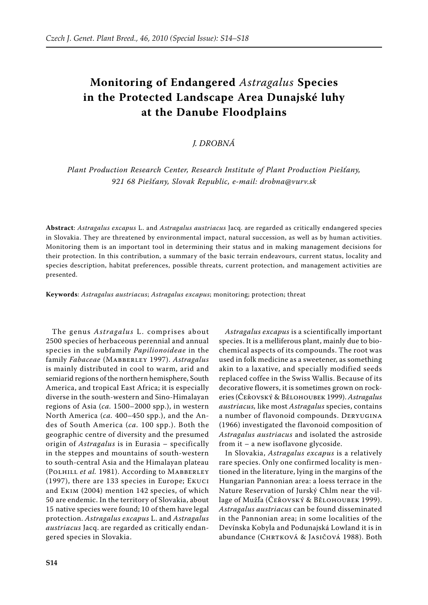# **Monitoring of Endangered** *Astragalus* **Species in the Protected Landscape Area Dunajské luhy at the Danube Floodplains**

# *J. Drobná*

*Plant Production Research Center, Research Institute of Plant Production Piešťany, 921 68 Piešťany, Slovak Republic, e-mail: drobna@vurv.sk*

**Abstract**: *Astragalus excapus* L. and *Astragalus austriacus* Jacq. are regarded as critically endangered species in Slovakia. They are threatened by environmental impact, natural succession, as well as by human activities. Monitoring them is an important tool in determining their status and in making management decisions for their protection. In this contribution, a summary of the basic terrain endeavours, current status, locality and species description, habitat preferences, possible threats, current protection, and management activities are presented.

**Keywords**: *Astragalus austriacus*; *Astragalus excapus*; monitoring; protection; threat

The genus *Astragalus* L. comprises about 2500 species of herbaceous perennial and annual species in the subfamily *Papilionoideae* in the family *Fabaceae* (Mabberley 1997). *Astragalus*  is mainly distributed in cool to warm, arid and semiarid regions of the northern hemisphere, South America, and tropical East Africa; it is especially diverse in the south-western and Sino-Himalayan regions of Asia (*ca.* 1500–2000 spp.), in western North America (*ca.* 400–450 spp.), and the Andes of South America (*ca.* 100 spp.). Both the geographic centre of diversity and the presumed origin of *Astragalus* is in Eurasia – specifically in the steppes and mountains of south-western to south-central Asia and the Himalayan plateau (Polhill *et al.* 1981). According to Mabberley (1997), there are 133 species in Europe; Ekuci and Ekim (2004) mention 142 species, of which 50 are endemic. In the territory of Slovakia, about 15 native species were found; 10 of them have legal protection. *Astragalus excapus* L. and *Astragalus austriacus* Jacq. are regarded as critically endangered species in Slovakia.

*Astragalus excapus* is a scientifically important species. It is a melliferous plant, mainly due to biochemical aspects of its compounds. The root was used in folk medicine as a sweetener, as something akin to a laxative, and specially modified seeds replaced coffee in the Swiss Wallis. Because of its decorative flowers, it is sometimes grown on rockeries (Čeřovský & Bělohoubek 1999). *Astragalus austriacus,* like most *Astragalus* species, contains a number of flavonoid compounds. Deryugina (1966) investigated the flavonoid composition of *Astragalus austriacus* and isolated the astroside from it – a new isoflavone glycoside.

In Slovakia, *Astragalus excapus* is a relatively rare species. Only one confirmed locality is mentioned in the literature, lying in the margins of the Hungarian Pannonian area: a loess terrace in the Nature Reservation of Jurský Chlm near the village of Mužľa (Čeřovský & Bělohoubek 1999). *Astragalus austriacus* can be found disseminated in the Pannonian area; in some localities of the Devínska Kobyla and Podunajská Lowland it is in abundance (CHRTKOVÁ & JASIČOVÁ 1988). Both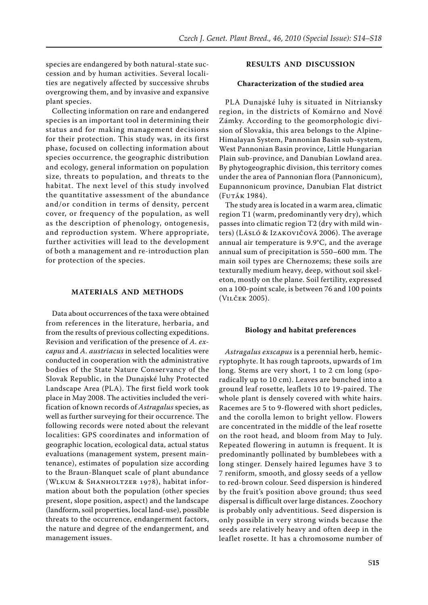species are endangered by both natural-state succession and by human activities. Several localities are negatively affected by successive shrubs overgrowing them, and by invasive and expansive plant species.

Collecting information on rare and endangered species is an important tool in determining their status and for making management decisions for their protection. This study was, in its first phase, focused on collecting information about species occurrence, the geographic distribution and ecology, general information on population size, threats to population, and threats to the habitat. The next level of this study involved the quantitative assessment of the abundance and/or condition in terms of density, percent cover, or frequency of the population, as well as the description of phenology, ontogenesis, and reproduction system. Where appropriate, further activities will lead to the development of both a management and re-introduction plan for protection of the species.

## **MATERIALS AND METHODS**

Data about occurrences of the taxa were obtained from references in the literature, herbaria, and from the results of previous collecting expeditions. Revision and verification of the presence of *A. excapus* and *A. austriacus* in selected localities were conducted in cooperation with the administrative bodies of the State Nature Conservancy of the Slovak Republic, in the Dunajské luhy Protected Landscape Area (PLA). The first field work took place in May 2008. The activities included the verification of known records of *Astragalus* species, as well as further surveying for their occurrence. The following records were noted about the relevant localities: GPS coordinates and information of geographic location, ecological data, actual status evaluations (management system, present maintenance), estimates of population size according to the Braun-Blanquet scale of plant abundance (Wlkum & Shanholtzer 1978), habitat information about both the population (other species present, slope position, aspect) and the landscape (landform, soil properties, local land-use), possible threats to the occurrence, endangerment factors, the nature and degree of the endangerment, and management issues.

## **RESULTS AND DISCUSSION**

## **Characterization of the studied area**

PLA Dunajské luhy is situated in Nitriansky region, in the districts of Komárno and Nové Zámky. According to the geomorphologic division of Slovakia, this area belongs to the Alpine-Himalayan System, Pannonian Basin sub-system, West Pannonian Basin province, Little Hungarian Plain sub-province, and Danubian Lowland area. By phytogeographic division, this territory comes under the area of Pannonian flora (Pannonicum), Eupannonicum province, Danubian Flat district (Futák 1984).

The study area is located in a warm area, climatic region T1 (warm, predominantly very dry), which passes into climatic region T2 (dry with mild winters) (Lásló & Izakovičová 2006). The average annual air temperature is 9.9°C, and the average annual sum of precipitation is 550–600 mm. The main soil types are Chernozems; these soils are texturally medium heavy, deep, without soil skeleton, mostly on the plane. Soil fertility, expressed on a 100-point scale, is between 76 and 100 points (Vilček 2005).

### **Biology and habitat preferences**

*Astragalus exscapus* is a perennial herb, hemicryptophyte. It has rough taproots, upwards of 1m long. Stems are very short, 1 to 2 cm long (sporadically up to 10 cm). Leaves are bunched into a ground leaf rosette, leaflets 10 to 19-paired. The whole plant is densely covered with white hairs. Racemes are 5 to 9-flowered with short pedicles, and the corolla lemon to bright yellow. Flowers are concentrated in the middle of the leaf rosette on the root head, and bloom from May to July. Repeated flowering in autumn is frequent. It is predominantly pollinated by bumblebees with a long stinger. Densely haired legumes have 3 to 7 reniform, smooth, and glossy seeds of a yellow to red-brown colour. Seed dispersion is hindered by the fruit's position above ground; thus seed dispersal is difficult over large distances. Zoochory is probably only adventitious. Seed dispersion is only possible in very strong winds because the seeds are relatively heavy and often deep in the leaflet rosette. It has a chromosome number of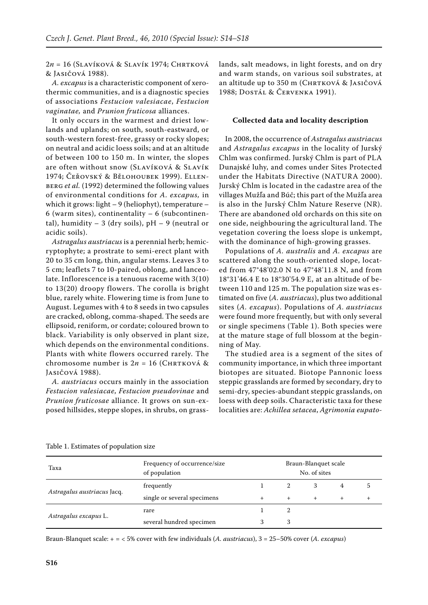2*n* = 16 (Slavíková & Slavík 1974; Chrtková & Jasičová 1988).

*A. excapus* is a characteristic component of xerothermic communities, and is a diagnostic species of associations *Festucion valesiacae*, *Festucion vaginatae,* and *Prunion fruticosa* alliances.

It only occurs in the warmest and driest lowlands and uplands; on south, south-eastward, or south-western forest-free, grassy or rocky slopes; on neutral and acidic loess soils; and at an altitude of between 100 to 150 m. In winter, the slopes are often without snow (Slavíková & Slavík 1974; Čeřovský & Bělohoubek 1999). Ellenberg *et al.* (1992) determined the following values of environmental conditions for *A. excapus,* in which it grows: light – 9 (heliophyt), temperature – 6 (warm sites), continentality  $-6$  (subcontinental), humidity  $-3$  (dry soils), pH  $-9$  (neutral or acidic soils).

*Astragalus austriacus* is a perennial herb; hemicryptophyte; a prostrate to semi-erect plant with 20 to 35 cm long, thin, angular stems. Leaves 3 to 5 cm; leaflets 7 to 10-paired, oblong, and lanceolate. Inflorescence is a tenuous raceme with 3(10) to 13(20) droopy flowers. The corolla is bright blue, rarely white. Flowering time is from June to August. Legumes with 4 to 8 seeds in two capsules are cracked, oblong, comma-shaped. The seeds are ellipsoid, reniform, or cordate; coloured brown to black. Variability is only observed in plant size, which depends on the environmental conditions. Plants with white flowers occurred rarely. The chromosome number is  $2n = 16$  (CHRTKOVÁ & Jasičová 1988).

*A. austriacus* occurs mainly in the association *Festucion valesiacae*, *Festucion pseudovinae* and *Prunion fruticosae* alliance. It grows on sun-exposed hillsides, steppe slopes, in shrubs, on grasslands, salt meadows, in light forests, and on dry and warm stands, on various soil substrates, at an altitude up to 350 m (CHRTKOVÁ & JASIČOVÁ 1988; Dostál & Červenka 1991).

## **Collected data and locality description**

In 2008, the occurrence of *Astragalus austriacus*  and *Astragalus excapus* in the locality of Jurský Chlm was confirmed. Jurský Chlm is part of PLA Dunajské luhy, and comes under Sites Protected under the Habitats Directive (NATURA 2000). Jurský Chlm is located in the cadastre area of the villages Mužľa and Búč; this part of the Mužľa area is also in the Jurský Chlm Nature Reserve (NR). There are abandoned old orchards on this site on one side, neighbouring the agricultural land. The vegetation covering the loess slope is unkempt, with the dominance of high-growing grasses.

Populations of *A. australis* and *A. excapus* are scattered along the south-oriented slope, located from 47°48'02.0 N to 47°48'11.8 N, and from 18°31'46.4 E to 18°30'54.9 E, at an altitude of between 110 and 125 m. The population size was estimated on five (*A. austriacus*), plus two additional sites (*A. excapus*). Populations of *A. austriacus* were found more frequently, but with only several or single specimens (Table 1). Both species were at the mature stage of full blossom at the beginning of May.

The studied area is a segment of the sites of community importance, in which three important biotopes are situated. Biotope Pannonic loess steppic grasslands are formed by secondary, dry to semi-dry, species-abundant steppic grasslands, on loess with deep soils. Characteristic taxa for these localities are: *Achillea setacea*, *Agrimonia eupato-*

| Taxa                        | Frequency of occurrence/size<br>of population | Braun-Blanquet scale<br>No. of sites |     |   |   |    |
|-----------------------------|-----------------------------------------------|--------------------------------------|-----|---|---|----|
| Astragalus austriacus Jacq. | frequently                                    |                                      |     | 3 | 4 | 5. |
|                             | single or several specimens                   |                                      | $+$ |   |   |    |
| Astragalus excapus L.       | rare                                          |                                      |     |   |   |    |
|                             | several hundred specimen                      |                                      | 3   |   |   |    |

Braun-Blanquet scale: + = < 5% cover with few individuals (*A. austriacus*), 3 = 25–50% cover (*A. excapus*)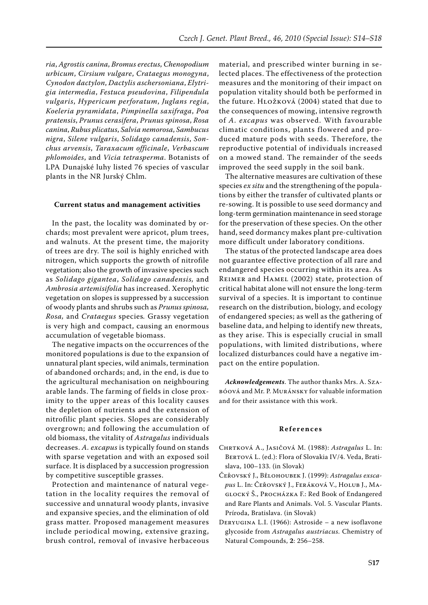*ria*, *Agrostis canina*, *Bromus erectus*, *Chenopodium urbicum*, *Cirsium vulgare*, *Crataegus monogyna*, *Cynodon dactylon*, *Dactylis aschersoniana*, *Elytrigia intermedia*, *Festuca pseudovina*, *Filipendula vulgaris*, *Hypericum perforatum*, *Juglans regia*, *Koeleria pyramidata*, *Pimpinella saxifraga*, *Poa pratensis*, *Prunus cerasifera*, *Prunus spinosa*, *Rosa canina*, *Rubus plicatus*, *Salvia nemorosa*, *Sambucus nigra*, *Silene vulgaris*, *Solidago canadensis*, *Sonchus arvensis*, *Taraxacum officinale*, *Verbascum phlomoides*, and *Vicia tetrasperma*. Botanists of LPA Dunajské luhy listed 76 species of vascular plants in the NR Jurský Chlm.

## **Current status and management activities**

In the past, the locality was dominated by orchards; most prevalent were apricot, plum trees, and walnuts. At the present time, the majority of trees are dry. The soil is highly enriched with nitrogen, which supports the growth of nitrofile vegetation; also the growth of invasive species such as *Solidago gigantea*, *Solidago canadensis,* and *Ambrosia artemisifolia* has increased. Xerophytic vegetation on slopes is suppressed by a succession of woody plants and shrubs such as *Prunus spinosa, Rosa,* and *Crataegus* species*.* Grassy vegetation is very high and compact, causing an enormous accumulation of vegetable biomass.

The negative impacts on the occurrences of the monitored populations is due to the expansion of unnatural plant species, wild animals, termination of abandoned orchards; and, in the end, is due to the agricultural mechanisation on neighbouring arable lands. The farming of fields in close proximity to the upper areas of this locality causes the depletion of nutrients and the extension of nitrofilic plant species. Slopes are considerably overgrown; and following the accumulation of old biomass, the vitality of *Astragalus* individuals decreases. *A. excapus* is typically found on stands with sparse vegetation and with an exposed soil surface. It is displaced by a succession progression by competitive susceptible grasses.

Protection and maintenance of natural vegetation in the locality requires the removal of successive and unnatural woody plants, invasive and expansive species, and the elimination of old grass matter. Proposed management measures include periodical mowing, extensive grazing, brush control, removal of invasive herbaceous

material, and prescribed winter burning in selected places. The effectiveness of the protection measures and the monitoring of their impact on population vitality should both be performed in the future. Hložková (2004) stated that due to the consequences of mowing, intensive regrowth of *A. excapus* was observed. With favourable climatic conditions, plants flowered and produced mature pods with seeds. Therefore, the reproductive potential of individuals increased on a mowed stand. The remainder of the seeds improved the seed supply in the soil bank.

The alternative measures are cultivation of these species *ex situ* and the strengthening of the populations by either the transfer of cultivated plants or re-sowing. It is possible to use seed dormancy and long-term germination maintenance in seed storage for the preservation of these species. On the other hand, seed dormancy makes plant pre-cultivation more difficult under laboratory conditions.

The status of the protected landscape area does not guarantee effective protection of all rare and endangered species occurring within its area. As Reimer and Hamel (2002) state, protection of critical habitat alone will not ensure the long-term survival of a species. It is important to continue research on the distribution, biology, and ecology of endangered species; as well as the gathering of baseline data, and helping to identify new threats, as they arise. This is especially crucial in small populations, with limited distributions, where localized disturbances could have a negative impact on the entire population.

*Acknowledgements*. The author thanks Mrs. A. Szabóová and Mr. P. Muránsky for valuable information and for their assistance with this work.

#### **R e f e r e n c e s**

- Chrtková A., Jasičová M. (1988): *Astragalus* L. In: BERTOVÁ L. (ed.): Flora of Slovakia IV/4. Veda, Bratislava, 100–133. (in Slovak)
- Čeřovský J., Bělohoubek J. (1999): *Astragalus exscapus* L. In: Čeřovský J., Feráková V., Holub J., Maglocký Š., Procházka F.: Red book of Endangered and Rare Plants and Animals. Vol. 5. Vascular Plants. Príroda, Bratislava. (in Slovak)
- Deryugina L.I. (1966): Astroside a new isoflavone glycoside from *Astragalus austriacus*. Chemistry of Natural Compounds, **2**: 256–258.